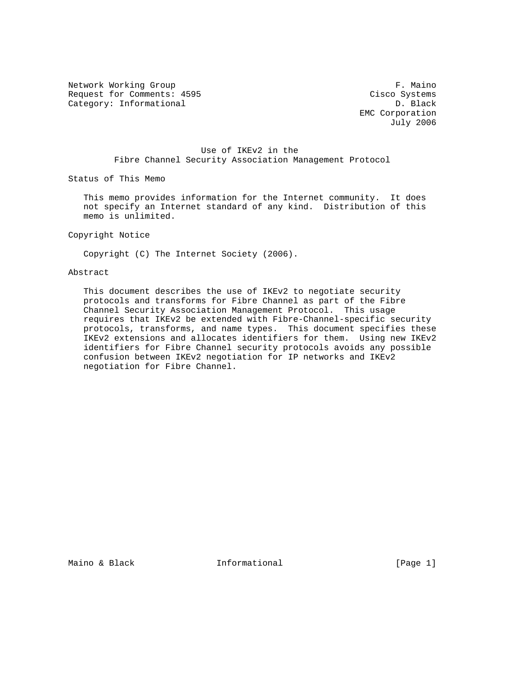Network Working Group **F. Maino** Request for Comments: 4595 Cisco Systems Category: Informational D. Black

 EMC Corporation July 2006

# Use of IKEv2 in the Fibre Channel Security Association Management Protocol

Status of This Memo

 This memo provides information for the Internet community. It does not specify an Internet standard of any kind. Distribution of this memo is unlimited.

Copyright Notice

Copyright (C) The Internet Society (2006).

#### Abstract

 This document describes the use of IKEv2 to negotiate security protocols and transforms for Fibre Channel as part of the Fibre Channel Security Association Management Protocol. This usage requires that IKEv2 be extended with Fibre-Channel-specific security protocols, transforms, and name types. This document specifies these IKEv2 extensions and allocates identifiers for them. Using new IKEv2 identifiers for Fibre Channel security protocols avoids any possible confusion between IKEv2 negotiation for IP networks and IKEv2 negotiation for Fibre Channel.

Maino & Black **Informational** 10 (Page 1)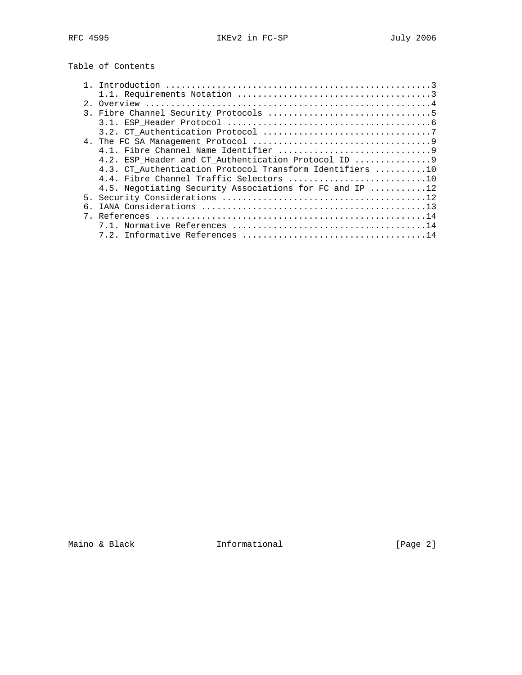# Table of Contents

| $2^{\circ}$ |                                                          |
|-------------|----------------------------------------------------------|
|             |                                                          |
|             |                                                          |
|             |                                                          |
|             |                                                          |
|             |                                                          |
|             | 4.2. ESP Header and CT Authentication Protocol ID  9     |
|             | 4.3. CT Authentication Protocol Transform Identifiers 10 |
|             | 4.4. Fibre Channel Traffic Selectors 10                  |
|             | 4.5. Negotiating Security Associations for FC and IP 12  |
|             |                                                          |
|             |                                                          |
|             |                                                          |
|             |                                                          |
|             |                                                          |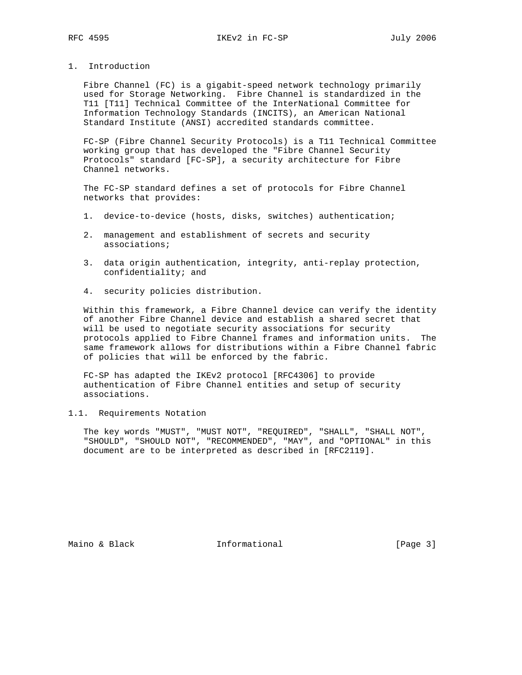1. Introduction

 Fibre Channel (FC) is a gigabit-speed network technology primarily used for Storage Networking. Fibre Channel is standardized in the T11 [T11] Technical Committee of the InterNational Committee for Information Technology Standards (INCITS), an American National Standard Institute (ANSI) accredited standards committee.

 FC-SP (Fibre Channel Security Protocols) is a T11 Technical Committee working group that has developed the "Fibre Channel Security Protocols" standard [FC-SP], a security architecture for Fibre Channel networks.

 The FC-SP standard defines a set of protocols for Fibre Channel networks that provides:

- 1. device-to-device (hosts, disks, switches) authentication;
- 2. management and establishment of secrets and security associations;
- 3. data origin authentication, integrity, anti-replay protection, confidentiality; and
- 4. security policies distribution.

 Within this framework, a Fibre Channel device can verify the identity of another Fibre Channel device and establish a shared secret that will be used to negotiate security associations for security protocols applied to Fibre Channel frames and information units. The same framework allows for distributions within a Fibre Channel fabric of policies that will be enforced by the fabric.

 FC-SP has adapted the IKEv2 protocol [RFC4306] to provide authentication of Fibre Channel entities and setup of security associations.

1.1. Requirements Notation

 The key words "MUST", "MUST NOT", "REQUIRED", "SHALL", "SHALL NOT", "SHOULD", "SHOULD NOT", "RECOMMENDED", "MAY", and "OPTIONAL" in this document are to be interpreted as described in [RFC2119].

Maino & Black **Informational** [Page 3]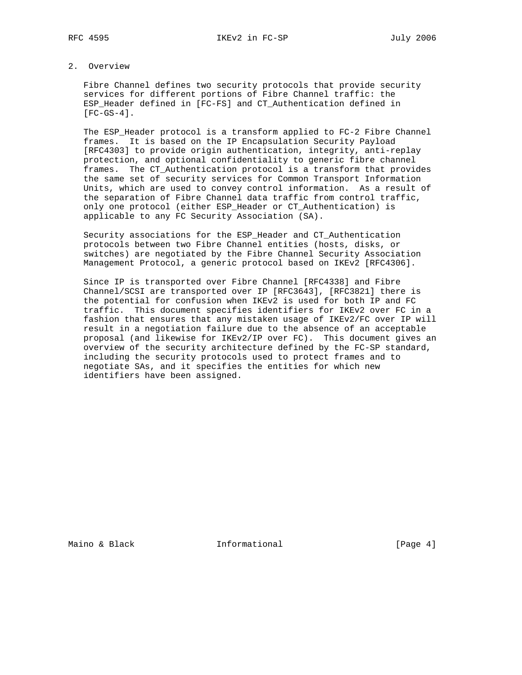# 2. Overview

 Fibre Channel defines two security protocols that provide security services for different portions of Fibre Channel traffic: the ESP\_Header defined in [FC-FS] and CT\_Authentication defined in  $[FC-GS-4]$ .

 The ESP\_Header protocol is a transform applied to FC-2 Fibre Channel frames. It is based on the IP Encapsulation Security Payload [RFC4303] to provide origin authentication, integrity, anti-replay protection, and optional confidentiality to generic fibre channel frames. The CT\_Authentication protocol is a transform that provides the same set of security services for Common Transport Information Units, which are used to convey control information. As a result of the separation of Fibre Channel data traffic from control traffic, only one protocol (either ESP\_Header or CT\_Authentication) is applicable to any FC Security Association (SA).

 Security associations for the ESP\_Header and CT\_Authentication protocols between two Fibre Channel entities (hosts, disks, or switches) are negotiated by the Fibre Channel Security Association Management Protocol, a generic protocol based on IKEv2 [RFC4306].

 Since IP is transported over Fibre Channel [RFC4338] and Fibre Channel/SCSI are transported over IP [RFC3643], [RFC3821] there is the potential for confusion when IKEv2 is used for both IP and FC traffic. This document specifies identifiers for IKEv2 over FC in a fashion that ensures that any mistaken usage of IKEv2/FC over IP will result in a negotiation failure due to the absence of an acceptable proposal (and likewise for IKEv2/IP over FC). This document gives an overview of the security architecture defined by the FC-SP standard, including the security protocols used to protect frames and to negotiate SAs, and it specifies the entities for which new identifiers have been assigned.

Maino & Black **Informational** [Page 4]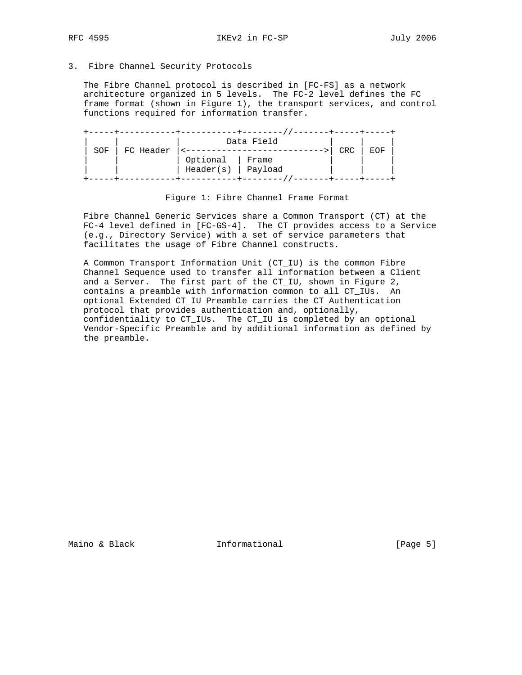RFC 4595 IKEv2 in FC-SP July 2006

# 3. Fibre Channel Security Protocols

 The Fibre Channel protocol is described in [FC-FS] as a network architecture organized in 5 levels. The FC-2 level defines the FC frame format (shown in Figure 1), the transport services, and control functions required for information transfer.

|     |           |           | Data Field |     |     |
|-----|-----------|-----------|------------|-----|-----|
| SOF | FC Header |           |            | CRC | EOF |
|     |           | Optional  | Frame      |     |     |
|     |           | Header(s) | Payload    |     |     |
|     |           |           |            |     |     |

Figure 1: Fibre Channel Frame Format

 Fibre Channel Generic Services share a Common Transport (CT) at the FC-4 level defined in [FC-GS-4]. The CT provides access to a Service (e.g., Directory Service) with a set of service parameters that facilitates the usage of Fibre Channel constructs.

 A Common Transport Information Unit (CT\_IU) is the common Fibre Channel Sequence used to transfer all information between a Client and a Server. The first part of the CT\_IU, shown in Figure 2, contains a preamble with information common to all CT\_IUs. An optional Extended CT\_IU Preamble carries the CT\_Authentication protocol that provides authentication and, optionally, confidentiality to CT\_IUs. The CT\_IU is completed by an optional Vendor-Specific Preamble and by additional information as defined by the preamble.

Maino & Black **Informational** [Page 5]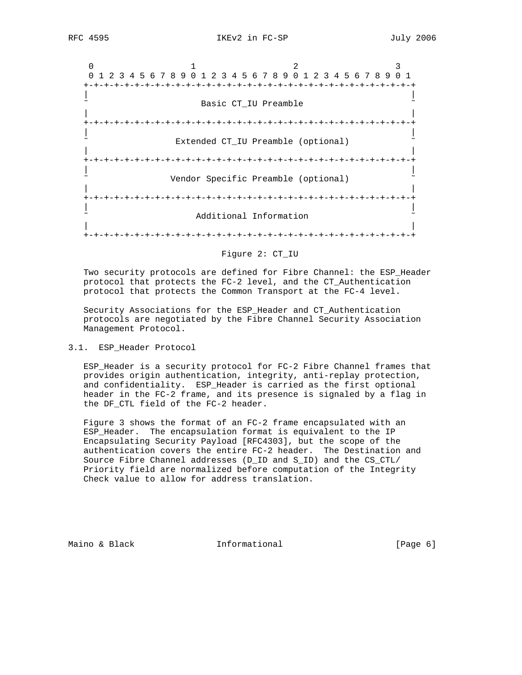0  $1$  2 3 0 1 2 3 4 5 6 7 8 9 0 1 2 3 4 5 6 7 8 9 0 1 2 3 4 5 6 7 8 9 0 1 +-+-+-+-+-+-+-+-+-+-+-+-+-+-+-+-+-+-+-+-+-+-+-+-+-+-+-+-+-+-+-+-+ | | Basic CT\_IU Preamble | | +-+-+-+-+-+-+-+-+-+-+-+-+-+-+-+-+-+-+-+-+-+-+-+-+-+-+-+-+-+-+-+-+ | | Extended CT\_IU Preamble (optional) | | +-+-+-+-+-+-+-+-+-+-+-+-+-+-+-+-+-+-+-+-+-+-+-+-+-+-+-+-+-+-+-+-+ | | Vendor Specific Preamble (optional) | | +-+-+-+-+-+-+-+-+-+-+-+-+-+-+-+-+-+-+-+-+-+-+-+-+-+-+-+-+-+-+-+-+ | | Additional Information | | +-+-+-+-+-+-+-+-+-+-+-+-+-+-+-+-+-+-+-+-+-+-+-+-+-+-+-+-+-+-+-+-+

#### Figure 2: CT\_IU

 Two security protocols are defined for Fibre Channel: the ESP\_Header protocol that protects the FC-2 level, and the CT\_Authentication protocol that protects the Common Transport at the FC-4 level.

 Security Associations for the ESP\_Header and CT\_Authentication protocols are negotiated by the Fibre Channel Security Association Management Protocol.

#### 3.1. ESP\_Header Protocol

 ESP\_Header is a security protocol for FC-2 Fibre Channel frames that provides origin authentication, integrity, anti-replay protection, and confidentiality. ESP\_Header is carried as the first optional header in the FC-2 frame, and its presence is signaled by a flag in the DF\_CTL field of the FC-2 header.

 Figure 3 shows the format of an FC-2 frame encapsulated with an ESP\_Header. The encapsulation format is equivalent to the IP Encapsulating Security Payload [RFC4303], but the scope of the authentication covers the entire FC-2 header. The Destination and Source Fibre Channel addresses (D\_ID and S\_ID) and the CS\_CTL/ Priority field are normalized before computation of the Integrity Check value to allow for address translation.

Maino & Black **Informational Informational** [Page 6]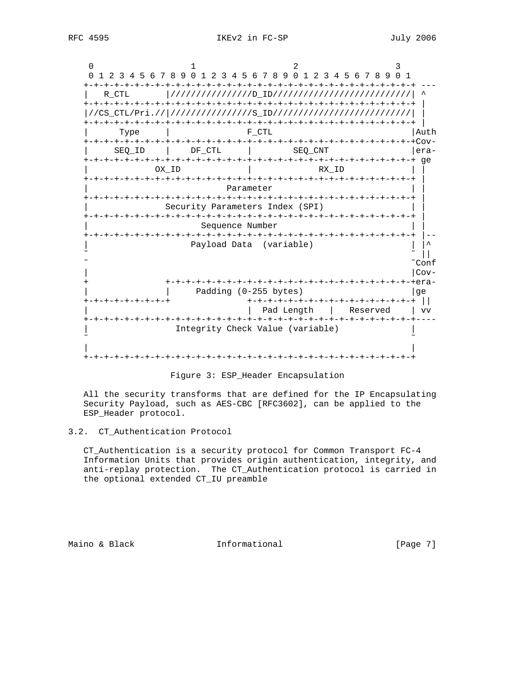

#### Figure 3: ESP\_Header Encapsulation

 All the security transforms that are defined for the IP Encapsulating Security Payload, such as AES-CBC [RFC3602], can be applied to the ESP\_Header protocol.

# 3.2. CT\_Authentication Protocol

 CT\_Authentication is a security protocol for Common Transport FC-4 Information Units that provides origin authentication, integrity, and anti-replay protection. The CT\_Authentication protocol is carried in the optional extended CT\_IU preamble

Maino & Black **Informational Informational** [Page 7]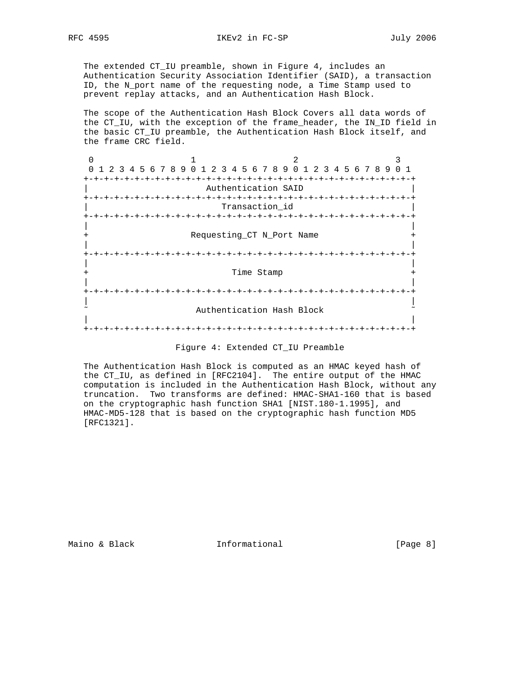The extended CT\_IU preamble, shown in Figure 4, includes an Authentication Security Association Identifier (SAID), a transaction ID, the N\_port name of the requesting node, a Time Stamp used to prevent replay attacks, and an Authentication Hash Block.

 The scope of the Authentication Hash Block Covers all data words of the CT\_IU, with the exception of the frame\_header, the IN\_ID field in the basic CT\_IU preamble, the Authentication Hash Block itself, and the frame CRC field.

0  $1$  2 3 0 1 2 3 4 5 6 7 8 9 0 1 2 3 4 5 6 7 8 9 0 1 2 3 4 5 6 7 8 9 0 1 +-+-+-+-+-+-+-+-+-+-+-+-+-+-+-+-+-+-+-+-+-+-+-+-+-+-+-+-+-+-+-+-+ Authentication SAID +-+-+-+-+-+-+-+-+-+-+-+-+-+-+-+-+-+-+-+-+-+-+-+-+-+-+-+-+-+-+-+-+ Transaction id +-+-+-+-+-+-+-+-+-+-+-+-+-+-+-+-+-+-+-+-+-+-+-+-+-+-+-+-+-+-+-+-+ | | Requesting\_CT N\_Port Name + | | +-+-+-+-+-+-+-+-+-+-+-+-+-+-+-+-+-+-+-+-+-+-+-+-+-+-+-+-+-+-+-+-+ | | + Time Stamp + | | +-+-+-+-+-+-+-+-+-+-+-+-+-+-+-+-+-+-+-+-+-+-+-+-+-+-+-+-+-+-+-+-+ | | Authentication Hash Block | | +-+-+-+-+-+-+-+-+-+-+-+-+-+-+-+-+-+-+-+-+-+-+-+-+-+-+-+-+-+-+-+-+

 The Authentication Hash Block is computed as an HMAC keyed hash of the CT\_IU, as defined in [RFC2104]. The entire output of the HMAC computation is included in the Authentication Hash Block, without any truncation. Two transforms are defined: HMAC-SHA1-160 that is based on the cryptographic hash function SHA1 [NIST.180-1.1995], and HMAC-MD5-128 that is based on the cryptographic hash function MD5 [RFC1321].

Maino & Black **Informational** [Page 8]

Figure 4: Extended CT\_IU Preamble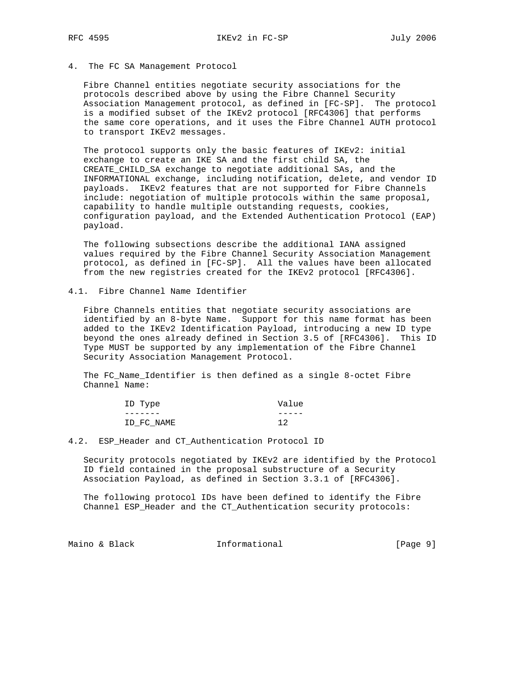# 4. The FC SA Management Protocol

 Fibre Channel entities negotiate security associations for the protocols described above by using the Fibre Channel Security Association Management protocol, as defined in [FC-SP]. The protocol is a modified subset of the IKEv2 protocol [RFC4306] that performs the same core operations, and it uses the Fibre Channel AUTH protocol to transport IKEv2 messages.

 The protocol supports only the basic features of IKEv2: initial exchange to create an IKE SA and the first child SA, the CREATE\_CHILD\_SA exchange to negotiate additional SAs, and the INFORMATIONAL exchange, including notification, delete, and vendor ID payloads. IKEv2 features that are not supported for Fibre Channels include: negotiation of multiple protocols within the same proposal, capability to handle multiple outstanding requests, cookies, configuration payload, and the Extended Authentication Protocol (EAP) payload.

 The following subsections describe the additional IANA assigned values required by the Fibre Channel Security Association Management protocol, as defined in [FC-SP]. All the values have been allocated from the new registries created for the IKEv2 protocol [RFC4306].

4.1. Fibre Channel Name Identifier

 Fibre Channels entities that negotiate security associations are identified by an 8-byte Name. Support for this name format has been added to the IKEv2 Identification Payload, introducing a new ID type beyond the ones already defined in Section 3.5 of [RFC4306]. This ID Type MUST be supported by any implementation of the Fibre Channel Security Association Management Protocol.

The FC Name Identifier is then defined as a single 8-octet Fibre Channel Name:

| ID Type    | Value |
|------------|-------|
|            |       |
| ID FC NAME | 12    |

# 4.2. ESP\_Header and CT\_Authentication Protocol ID

 Security protocols negotiated by IKEv2 are identified by the Protocol ID field contained in the proposal substructure of a Security Association Payload, as defined in Section 3.3.1 of [RFC4306].

 The following protocol IDs have been defined to identify the Fibre Channel ESP\_Header and the CT\_Authentication security protocols:

Maino & Black **Informational** [Page 9]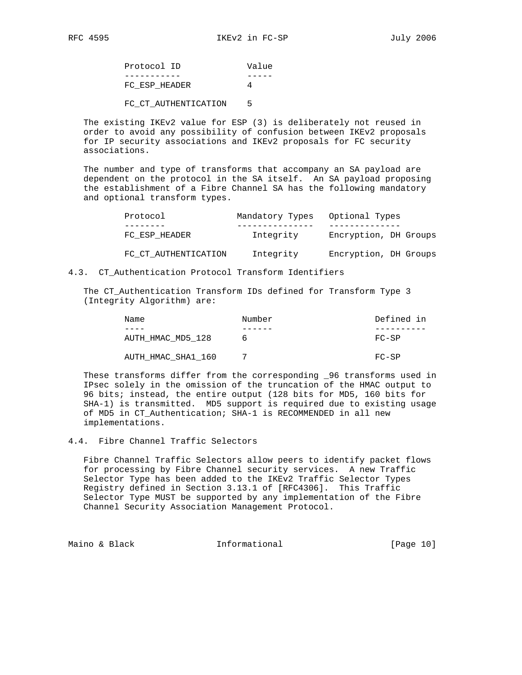| Protocol ID   | Value |
|---------------|-------|
|               |       |
| FC ESP HEADER |       |

FC\_CT\_AUTHENTICATION 5

 The existing IKEv2 value for ESP (3) is deliberately not reused in order to avoid any possibility of confusion between IKEv2 proposals for IP security associations and IKEv2 proposals for FC security associations.

 The number and type of transforms that accompany an SA payload are dependent on the protocol in the SA itself. An SA payload proposing the establishment of a Fibre Channel SA has the following mandatory and optional transform types.

| Protocol             | Mandatory Types | Optional Types        |
|----------------------|-----------------|-----------------------|
|                      |                 |                       |
| FC ESP HEADER        | Integrity       | Encryption, DH Groups |
| FC CT AUTHENTICATION | Integrity       | Encryption, DH Groups |

4.3. CT\_Authentication Protocol Transform Identifiers

 The CT\_Authentication Transform IDs defined for Transform Type 3 (Integrity Algorithm) are:

| Name               | Number | Defined in |
|--------------------|--------|------------|
| ----               |        |            |
| AUTH HMAC MD5 128  | h      | FC-SP      |
| AUTH HMAC SHA1 160 |        | $FC-SP$    |

 These transforms differ from the corresponding \_96 transforms used in IPsec solely in the omission of the truncation of the HMAC output to 96 bits; instead, the entire output (128 bits for MD5, 160 bits for SHA-1) is transmitted. MD5 support is required due to existing usage of MD5 in CT\_Authentication; SHA-1 is RECOMMENDED in all new implementations.

4.4. Fibre Channel Traffic Selectors

 Fibre Channel Traffic Selectors allow peers to identify packet flows for processing by Fibre Channel security services. A new Traffic Selector Type has been added to the IKEv2 Traffic Selector Types Registry defined in Section 3.13.1 of [RFC4306]. This Traffic Selector Type MUST be supported by any implementation of the Fibre Channel Security Association Management Protocol.

Maino & Black **Informational** [Page 10]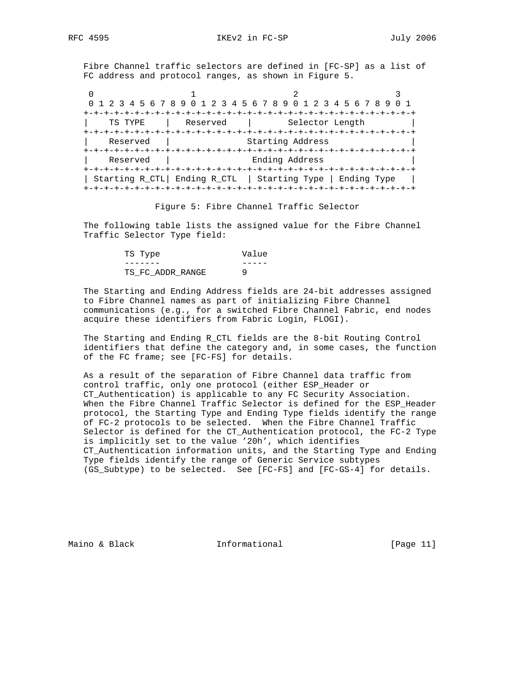Fibre Channel traffic selectors are defined in [FC-SP] as a list of FC address and protocol ranges, as shown in Figure 5.

0  $1$  2 3 0 1 2 3 4 5 6 7 8 9 0 1 2 3 4 5 6 7 8 9 0 1 2 3 4 5 6 7 8 9 0 1 +-+-+-+-+-+-+-+-+-+-+-+-+-+-+-+-+-+-+-+-+-+-+-+-+-+-+-+-+-+-+-+-+ | TS TYPE | Reserved | Selector Length | +-+-+-+-+-+-+-+-+-+-+-+-+-+-+-+-+-+-+-+-+-+-+-+-+-+-+-+-+-+-+-+-+ Reserved | Starting Address +-+-+-+-+-+-+-+-+-+-+-+-+-+-+-+-+-+-+-+-+-+-+-+-+-+-+-+-+-+-+-+-+ Reserved | Ending Address +-+-+-+-+-+-+-+-+-+-+-+-+-+-+-+-+-+-+-+-+-+-+-+-+-+-+-+-+-+-+-+-+ | Starting R\_CTL| Ending R\_CTL | Starting Type | Ending Type | +-+-+-+-+-+-+-+-+-+-+-+-+-+-+-+-+-+-+-+-+-+-+-+-+-+-+-+-+-+-+-+-+

Figure 5: Fibre Channel Traffic Selector

 The following table lists the assigned value for the Fibre Channel Traffic Selector Type field:

| TS Type          | Value |
|------------------|-------|
|                  |       |
| TS FC ADDR RANGE |       |

 The Starting and Ending Address fields are 24-bit addresses assigned to Fibre Channel names as part of initializing Fibre Channel communications (e.g., for a switched Fibre Channel Fabric, end nodes acquire these identifiers from Fabric Login, FLOGI).

 The Starting and Ending R\_CTL fields are the 8-bit Routing Control identifiers that define the category and, in some cases, the function of the FC frame; see [FC-FS] for details.

 As a result of the separation of Fibre Channel data traffic from control traffic, only one protocol (either ESP\_Header or CT\_Authentication) is applicable to any FC Security Association. When the Fibre Channel Traffic Selector is defined for the ESP\_Header protocol, the Starting Type and Ending Type fields identify the range of FC-2 protocols to be selected. When the Fibre Channel Traffic Selector is defined for the CT Authentication protocol, the FC-2 Type is implicitly set to the value '20h', which identifies CT\_Authentication information units, and the Starting Type and Ending Type fields identify the range of Generic Service subtypes (GS\_Subtype) to be selected. See [FC-FS] and [FC-GS-4] for details.

Maino & Black **Informational Informational** [Page 11]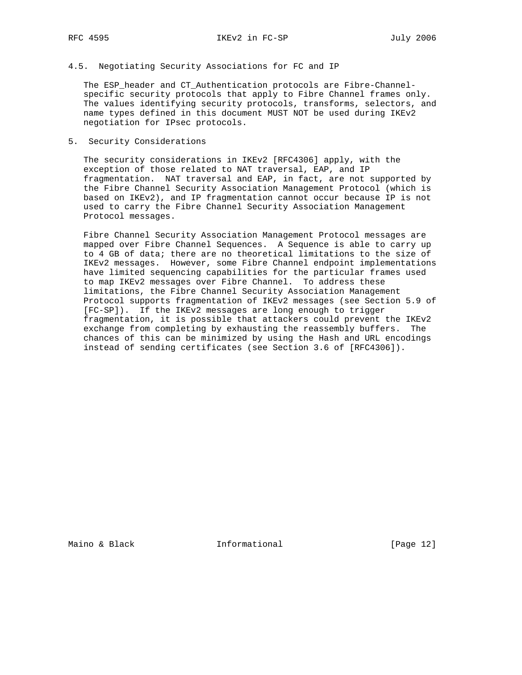# 4.5. Negotiating Security Associations for FC and IP

 The ESP\_header and CT\_Authentication protocols are Fibre-Channel specific security protocols that apply to Fibre Channel frames only. The values identifying security protocols, transforms, selectors, and name types defined in this document MUST NOT be used during IKEv2 negotiation for IPsec protocols.

# 5. Security Considerations

 The security considerations in IKEv2 [RFC4306] apply, with the exception of those related to NAT traversal, EAP, and IP fragmentation. NAT traversal and EAP, in fact, are not supported by the Fibre Channel Security Association Management Protocol (which is based on IKEv2), and IP fragmentation cannot occur because IP is not used to carry the Fibre Channel Security Association Management Protocol messages.

 Fibre Channel Security Association Management Protocol messages are mapped over Fibre Channel Sequences. A Sequence is able to carry up to 4 GB of data; there are no theoretical limitations to the size of IKEv2 messages. However, some Fibre Channel endpoint implementations have limited sequencing capabilities for the particular frames used to map IKEv2 messages over Fibre Channel. To address these limitations, the Fibre Channel Security Association Management Protocol supports fragmentation of IKEv2 messages (see Section 5.9 of [FC-SP]). If the IKEv2 messages are long enough to trigger fragmentation, it is possible that attackers could prevent the IKEv2 exchange from completing by exhausting the reassembly buffers. The chances of this can be minimized by using the Hash and URL encodings instead of sending certificates (see Section 3.6 of [RFC4306]).

Maino & Black **Informational** [Page 12]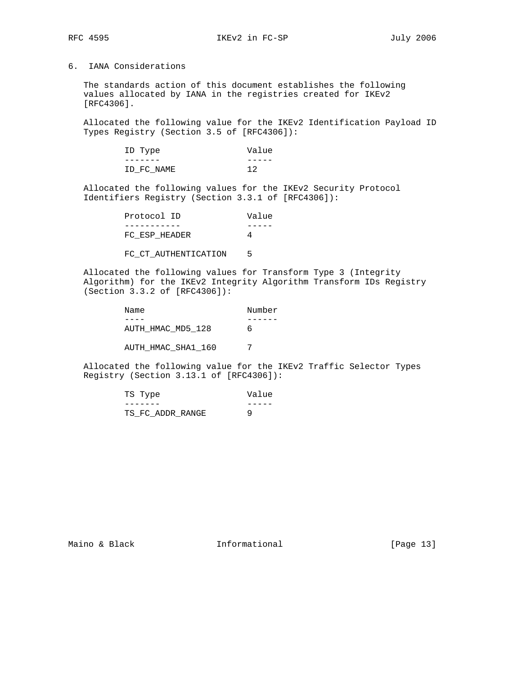6. IANA Considerations

 The standards action of this document establishes the following values allocated by IANA in the registries created for IKEv2 [RFC4306].

 Allocated the following value for the IKEv2 Identification Payload ID Types Registry (Section 3.5 of [RFC4306]):

| ID Type    | Value |
|------------|-------|
|            |       |
| ID FC NAME | 12    |

 Allocated the following values for the IKEv2 Security Protocol Identifiers Registry (Section 3.3.1 of [RFC4306]):

| Protocol ID   | Value |
|---------------|-------|
|               |       |
| FC ESP HEADER |       |

FC\_CT\_AUTHENTICATION 5

 Allocated the following values for Transform Type 3 (Integrity Algorithm) for the IKEv2 Integrity Algorithm Transform IDs Registry (Section 3.3.2 of [RFC4306]):

| Name               | Number |
|--------------------|--------|
|                    |        |
| AUTH HMAC MD5 128  | h      |
| AUTH HMAC SHA1 160 |        |

 Allocated the following value for the IKEv2 Traffic Selector Types Registry (Section 3.13.1 of [RFC4306]):

| TS Type          | Value |
|------------------|-------|
|                  |       |
| TS FC ADDR RANGE |       |

Maino & Black **Informational Informational** [Page 13]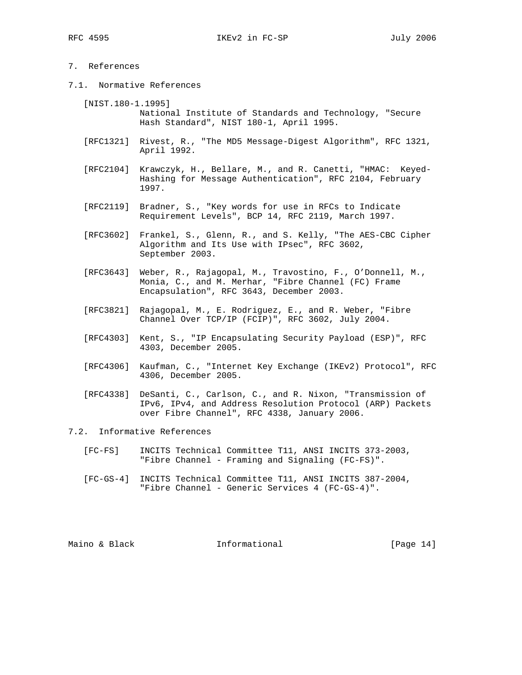# 7. References

7.1. Normative References

 [NIST.180-1.1995] National Institute of Standards and Technology, "Secure Hash Standard", NIST 180-1, April 1995.

- [RFC1321] Rivest, R., "The MD5 Message-Digest Algorithm", RFC 1321, April 1992.
- [RFC2104] Krawczyk, H., Bellare, M., and R. Canetti, "HMAC: Keyed- Hashing for Message Authentication", RFC 2104, February 1997.
- [RFC2119] Bradner, S., "Key words for use in RFCs to Indicate Requirement Levels", BCP 14, RFC 2119, March 1997.
- [RFC3602] Frankel, S., Glenn, R., and S. Kelly, "The AES-CBC Cipher Algorithm and Its Use with IPsec", RFC 3602, September 2003.
- [RFC3643] Weber, R., Rajagopal, M., Travostino, F., O'Donnell, M., Monia, C., and M. Merhar, "Fibre Channel (FC) Frame Encapsulation", RFC 3643, December 2003.
- [RFC3821] Rajagopal, M., E. Rodriguez, E., and R. Weber, "Fibre Channel Over TCP/IP (FCIP)", RFC 3602, July 2004.
- [RFC4303] Kent, S., "IP Encapsulating Security Payload (ESP)", RFC 4303, December 2005.
- [RFC4306] Kaufman, C., "Internet Key Exchange (IKEv2) Protocol", RFC 4306, December 2005.
- [RFC4338] DeSanti, C., Carlson, C., and R. Nixon, "Transmission of IPv6, IPv4, and Address Resolution Protocol (ARP) Packets over Fibre Channel", RFC 4338, January 2006.

7.2. Informative References

- [FC-FS] INCITS Technical Committee T11, ANSI INCITS 373-2003, "Fibre Channel - Framing and Signaling (FC-FS)".
- [FC-GS-4] INCITS Technical Committee T11, ANSI INCITS 387-2004, "Fibre Channel - Generic Services 4 (FC-GS-4)".

Maino & Black **Informational** [Page 14]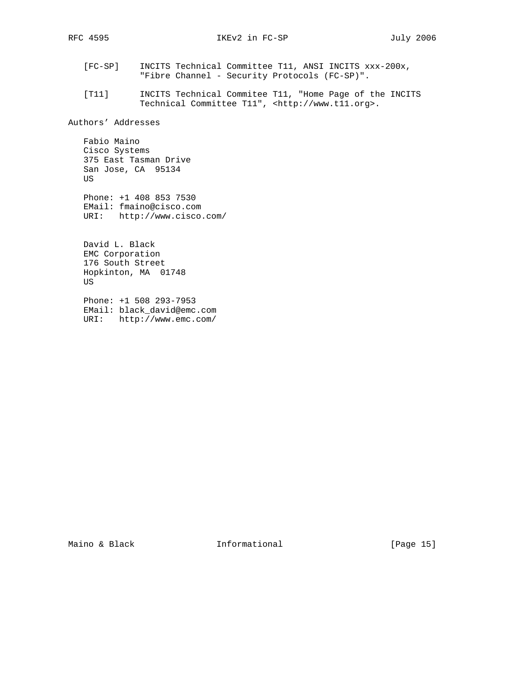- [FC-SP] INCITS Technical Committee T11, ANSI INCITS xxx-200x, "Fibre Channel - Security Protocols (FC-SP)".
- [T11] INCITS Technical Commitee T11, "Home Page of the INCITS Technical Committee T11", <http://www.t11.org>.

Authors' Addresses

 Fabio Maino Cisco Systems 375 East Tasman Drive San Jose, CA 95134 US

 Phone: +1 408 853 7530 EMail: fmaino@cisco.com URI: http://www.cisco.com/

 David L. Black EMC Corporation 176 South Street Hopkinton, MA 01748 US

 Phone: +1 508 293-7953 EMail: black\_david@emc.com URI: http://www.emc.com/

Maino & Black **Informational** [Page 15]